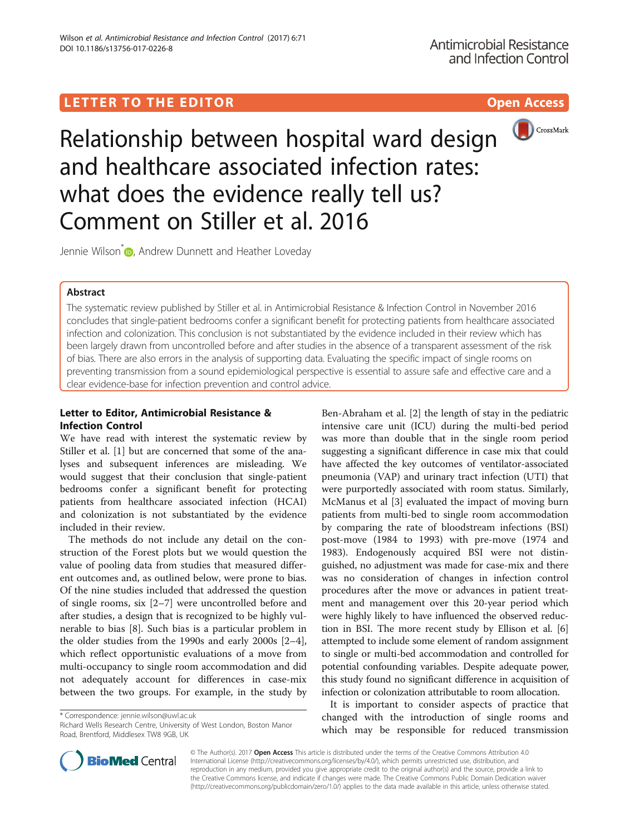# LETTER TO THE EDITOR **CONSIDERING A CONSIDERATION**



Relationship between hospital ward design and healthcare associated infection rates: what does the evidence really tell us? Comment on Stiller et al. 2016

Jennie Wilson<sup>®</sup> <sub>D</sub>, Andrew Dunnett and Heather Loveday

# Abstract

The systematic review published by Stiller et al. in Antimicrobial Resistance & Infection Control in November 2016 concludes that single-patient bedrooms confer a significant benefit for protecting patients from healthcare associated infection and colonization. This conclusion is not substantiated by the evidence included in their review which has been largely drawn from uncontrolled before and after studies in the absence of a transparent assessment of the risk of bias. There are also errors in the analysis of supporting data. Evaluating the specific impact of single rooms on preventing transmission from a sound epidemiological perspective is essential to assure safe and effective care and a clear evidence-base for infection prevention and control advice.

# Letter to Editor, Antimicrobial Resistance & Infection Control

We have read with interest the systematic review by Stiller et al. [[1](#page-1-0)] but are concerned that some of the analyses and subsequent inferences are misleading. We would suggest that their conclusion that single-patient bedrooms confer a significant benefit for protecting patients from healthcare associated infection (HCAI) and colonization is not substantiated by the evidence included in their review.

The methods do not include any detail on the construction of the Forest plots but we would question the value of pooling data from studies that measured different outcomes and, as outlined below, were prone to bias. Of the nine studies included that addressed the question of single rooms, six [[2](#page-1-0)–[7\]](#page-2-0) were uncontrolled before and after studies, a design that is recognized to be highly vulnerable to bias [\[8](#page-2-0)]. Such bias is a particular problem in the older studies from the 1990s and early 2000s [\[2](#page-1-0)–[4](#page-1-0)], which reflect opportunistic evaluations of a move from multi-occupancy to single room accommodation and did not adequately account for differences in case-mix between the two groups. For example, in the study by

\* Correspondence: [jennie.wilson@uwl.ac.uk](mailto:jennie.wilson@uwl.ac.uk)

Ben-Abraham et al. [[2\]](#page-1-0) the length of stay in the pediatric intensive care unit (ICU) during the multi-bed period was more than double that in the single room period suggesting a significant difference in case mix that could have affected the key outcomes of ventilator-associated pneumonia (VAP) and urinary tract infection (UTI) that were purportedly associated with room status. Similarly, McManus et al [[3\]](#page-1-0) evaluated the impact of moving burn patients from multi-bed to single room accommodation by comparing the rate of bloodstream infections (BSI) post-move (1984 to 1993) with pre-move (1974 and 1983). Endogenously acquired BSI were not distinguished, no adjustment was made for case-mix and there was no consideration of changes in infection control procedures after the move or advances in patient treatment and management over this 20-year period which were highly likely to have influenced the observed reduction in BSI. The more recent study by Ellison et al. [[6](#page-1-0)] attempted to include some element of random assignment to single or multi-bed accommodation and controlled for potential confounding variables. Despite adequate power, this study found no significant difference in acquisition of infection or colonization attributable to room allocation.

It is important to consider aspects of practice that changed with the introduction of single rooms and which may be responsible for reduced transmission



© The Author(s). 2017 **Open Access** This article is distributed under the terms of the Creative Commons Attribution 4.0 International License [\(http://creativecommons.org/licenses/by/4.0/](http://creativecommons.org/licenses/by/4.0/)), which permits unrestricted use, distribution, and reproduction in any medium, provided you give appropriate credit to the original author(s) and the source, provide a link to the Creative Commons license, and indicate if changes were made. The Creative Commons Public Domain Dedication waiver [\(http://creativecommons.org/publicdomain/zero/1.0/](http://creativecommons.org/publicdomain/zero/1.0/)) applies to the data made available in this article, unless otherwise stated.

Richard Wells Research Centre, University of West London, Boston Manor Road, Brentford, Middlesex TW8 9GB, UK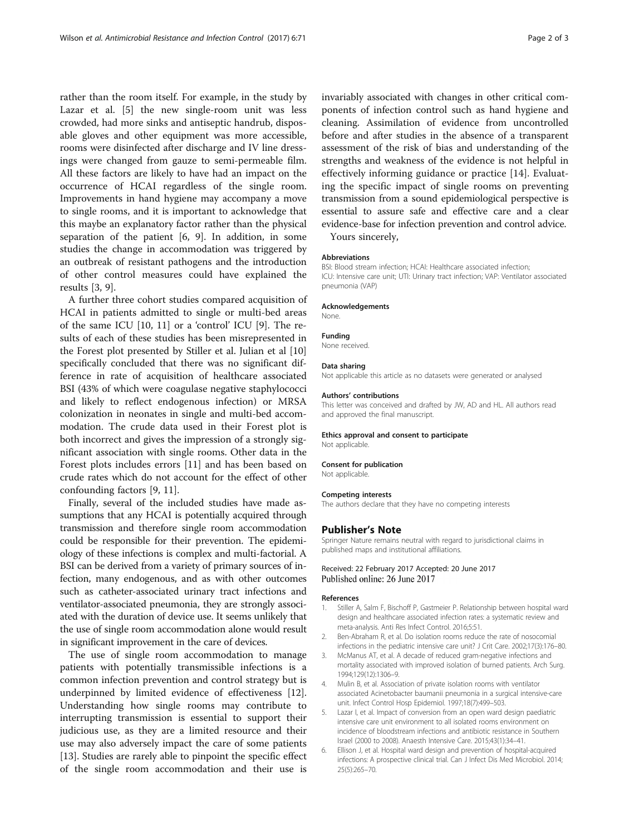<span id="page-1-0"></span>rather than the room itself. For example, in the study by Lazar et al. [5] the new single-room unit was less crowded, had more sinks and antiseptic handrub, disposable gloves and other equipment was more accessible, rooms were disinfected after discharge and IV line dressings were changed from gauze to semi-permeable film. All these factors are likely to have had an impact on the occurrence of HCAI regardless of the single room. Improvements in hand hygiene may accompany a move to single rooms, and it is important to acknowledge that this maybe an explanatory factor rather than the physical separation of the patient [6, [9\]](#page-2-0). In addition, in some studies the change in accommodation was triggered by an outbreak of resistant pathogens and the introduction of other control measures could have explained the results [3, [9](#page-2-0)].

A further three cohort studies compared acquisition of HCAI in patients admitted to single or multi-bed areas of the same ICU [[10, 11](#page-2-0)] or a 'control' ICU [\[9](#page-2-0)]. The results of each of these studies has been misrepresented in the Forest plot presented by Stiller et al. Julian et al [[10](#page-2-0)] specifically concluded that there was no significant difference in rate of acquisition of healthcare associated BSI (43% of which were coagulase negative staphylococci and likely to reflect endogenous infection) or MRSA colonization in neonates in single and multi-bed accommodation. The crude data used in their Forest plot is both incorrect and gives the impression of a strongly significant association with single rooms. Other data in the Forest plots includes errors [[11\]](#page-2-0) and has been based on crude rates which do not account for the effect of other confounding factors [[9, 11\]](#page-2-0).

Finally, several of the included studies have made assumptions that any HCAI is potentially acquired through transmission and therefore single room accommodation could be responsible for their prevention. The epidemiology of these infections is complex and multi-factorial. A BSI can be derived from a variety of primary sources of infection, many endogenous, and as with other outcomes such as catheter-associated urinary tract infections and ventilator-associated pneumonia, they are strongly associated with the duration of device use. It seems unlikely that the use of single room accommodation alone would result in significant improvement in the care of devices.

The use of single room accommodation to manage patients with potentially transmissible infections is a common infection prevention and control strategy but is underpinned by limited evidence of effectiveness [\[12](#page-2-0)]. Understanding how single rooms may contribute to interrupting transmission is essential to support their judicious use, as they are a limited resource and their use may also adversely impact the care of some patients [[13\]](#page-2-0). Studies are rarely able to pinpoint the specific effect of the single room accommodation and their use is invariably associated with changes in other critical components of infection control such as hand hygiene and cleaning. Assimilation of evidence from uncontrolled before and after studies in the absence of a transparent assessment of the risk of bias and understanding of the strengths and weakness of the evidence is not helpful in effectively informing guidance or practice [\[14](#page-2-0)]. Evaluating the specific impact of single rooms on preventing transmission from a sound epidemiological perspective is essential to assure safe and effective care and a clear evidence-base for infection prevention and control advice.

Yours sincerely,

## Abbreviations

BSI: Blood stream infection; HCAI: Healthcare associated infection; ICU: Intensive care unit; UTI: Urinary tract infection; VAP: Ventilator associated pneumonia (VAP)

#### Acknowledgements

None.

### Funding

None received.

#### Data sharing

Not applicable this article as no datasets were generated or analysed

#### Authors' contributions

This letter was conceived and drafted by JW, AD and HL. All authors read and approved the final manuscript.

#### Ethics approval and consent to participate

Not applicable.

# Consent for publication

Not applicable.

## Competing interests

The authors declare that they have no competing interests

## Publisher's Note

Springer Nature remains neutral with regard to jurisdictional claims in published maps and institutional affiliations.

# Received: 22 February 2017 Accepted: 20 June 2017 Published online: 26 June 2017

#### References

- 1. Stiller A, Salm F, Bischoff P, Gastmeier P. Relationship between hospital ward design and healthcare associated infection rates: a systematic review and meta-analysis. Anti Res Infect Control. 2016;5:51.
- 2. Ben-Abraham R, et al. Do isolation rooms reduce the rate of nosocomial infections in the pediatric intensive care unit? J Crit Care. 2002;17(3):176–80.
- 3. McManus AT, et al. A decade of reduced gram-negative infections and mortality associated with improved isolation of burned patients. Arch Surg. 1994;129(12):1306–9.
- Mulin B, et al. Association of private isolation rooms with ventilator associated Acinetobacter baumanii pneumonia in a surgical intensive-care unit. Infect Control Hosp Epidemiol. 1997;18(7):499–503.
- 5. Lazar I, et al. Impact of conversion from an open ward design paediatric intensive care unit environment to all isolated rooms environment on incidence of bloodstream infections and antibiotic resistance in Southern Israel (2000 to 2008). Anaesth Intensive Care. 2015;43(1):34–41.
- 6. Ellison J, et al. Hospital ward design and prevention of hospital-acquired infections: A prospective clinical trial. Can J Infect Dis Med Microbiol. 2014; 25(5):265–70.